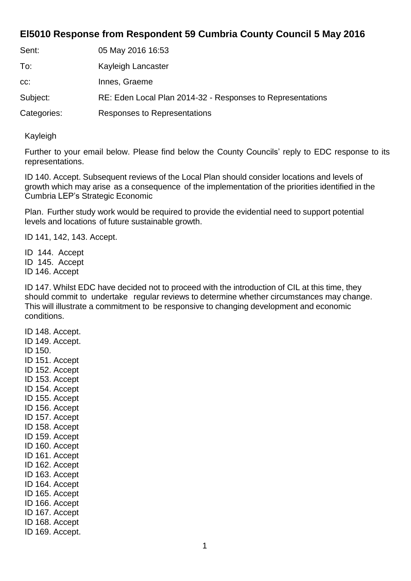## **El5010 Response from Respondent 59 Cumbria County Council 5 May 2016**

| Sent:       | 05 May 2016 16:53                                          |
|-------------|------------------------------------------------------------|
| To:         | Kayleigh Lancaster                                         |
| CC:         | Innes, Graeme                                              |
| Subject:    | RE: Eden Local Plan 2014-32 - Responses to Representations |
| Categories: | Responses to Representations                               |

Kayleigh

Further to your email below. Please find below the County Councils' reply to EDC response to its representations.

ID 140. Accept. Subsequent reviews of the Local Plan should consider locations and levels of growth which may arise as a consequence of the implementation of the priorities identified in the Cumbria LEP's Strategic Economic

Plan. Further study work would be required to provide the evidential need to support potential levels and locations of future sustainable growth.

ID 141, 142, 143. Accept.

ID 144. Accept ID 145. Accept ID 146. Accept

ID 147. Whilst EDC have decided not to proceed with the introduction of CIL at this time, they should commit to undertake regular reviews to determine whether circumstances may change. This will illustrate a commitment to be responsive to changing development and economic conditions.

ID 148. Accept. ID 149. Accept. ID 150. ID 151. Accept ID 152. Accept ID 153. Accept ID 154. Accept ID 155. Accept ID 156. Accept ID 157. Accept ID 158. Accept ID 159. Accept ID 160. Accept ID 161. Accept ID 162. Accept ID 163. Accept ID 164. Accept ID 165. Accept ID 166. Accept ID 167. Accept ID 168. Accept ID 169. Accept.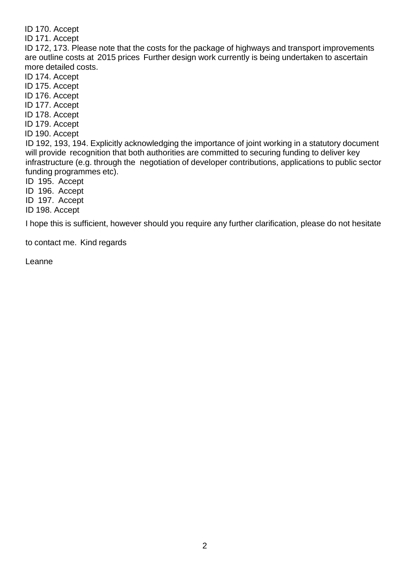ID 170. Accept

ID 171. Accept

ID 172, 173. Please note that the costs for the package of highways and transport improvements are outline costs at 2015 prices Further design work currently is being undertaken to ascertain more detailed costs.

ID 174. Accept

ID 175. Accept

ID 176. Accept

ID 177. Accept

ID 178. Accept

ID 179. Accept

ID 190. Accept

ID 192, 193, 194. Explicitly acknowledging the importance of joint working in a statutory document will provide recognition that both authorities are committed to securing funding to deliver key infrastructure (e.g. through the negotiation of developer contributions, applications to public sector funding programmes etc).

ID 195. Accept

ID 196. Accept

ID 197. Accept

ID 198. Accept

I hope this is sufficient, however should you require any further clarification, please do not hesitate

to contact me. Kind regards

Leanne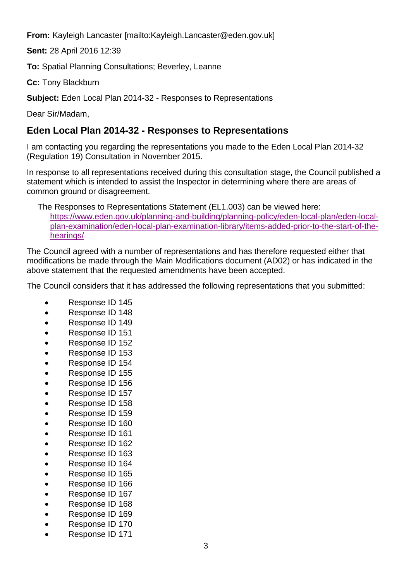**From:** Kayleigh Lancaster [\[mailto:Kayleigh.Lancaster@eden.gov.uk\]](mailto:Kayleigh.Lancaster@eden.gov.uk)

**Sent:** 28 April 2016 12:39

**To:** Spatial Planning Consultations; Beverley, Leanne

**Cc:** Tony Blackburn

**Subject:** Eden Local Plan 2014-32 - Responses to Representations

Dear Sir/Madam,

## **Eden Local Plan 2014-32 - Responses to Representations**

I am contacting you regarding the representations you made to the Eden Local Plan 2014-32 (Regulation 19) Consultation in November 2015.

In response to all representations received during this consultation stage, the Council published a statement which is intended to assist the Inspector in determining where there are areas of common ground or disagreement.

The Responses to Representations Statement (EL1.003) can be viewed here: [https://www.eden.gov.uk/planning-and-building/planning-policy/eden-local-plan/eden-local](https://www.eden.gov.uk/planning-and-building/planning-policy/eden-local-plan/eden-local-plan-examination/eden-local-plan-examination-library/items-added-prior-to-the-start-of-the-hearings/)[plan-examination/eden-local-plan-examination-library/items-added-prior-to-the-start-of-the](https://www.eden.gov.uk/planning-and-building/planning-policy/eden-local-plan/eden-local-plan-examination/eden-local-plan-examination-library/items-added-prior-to-the-start-of-the-hearings/)[hearings/](https://www.eden.gov.uk/planning-and-building/planning-policy/eden-local-plan/eden-local-plan-examination/eden-local-plan-examination-library/items-added-prior-to-the-start-of-the-hearings/)

The Council agreed with a number of representations and has therefore requested either that modifications be made through the Main Modifications document (AD02) or has indicated in the above statement that the requested amendments have been accepted.

The Council considers that it has addressed the following representations that you submitted:

- Response ID 145
- Response ID 148
- Response ID 149
- Response ID 151
- Response ID 152
- Response ID 153
- Response ID 154
- Response ID 155
- Response ID 156
- Response ID 157
- Response ID 158
- Response ID 159
- Response ID 160
- 
- Response ID 161
- Response ID 162
- Response ID 163
- Response ID 164
- Response ID 165
- Response ID 166
- Response ID 167
- Response ID 168
- Response ID 169
- Response ID 170
- Response ID 171